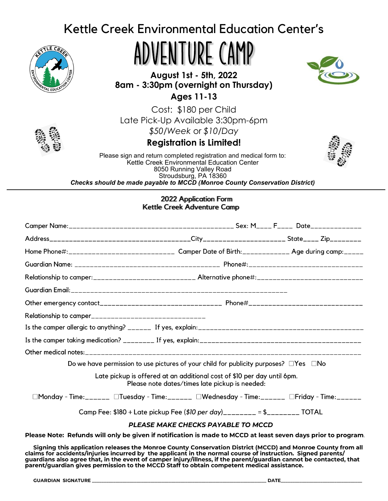# Kettle Creek Environmental Education Center's



ADVENTURE CAMP

**August 1st - 5th, 2022 8am - 3:30pm (overnight on Thursday)**



**Ages 11-13**

Cost: \$180 per Child

Late Pick-Up Available 3:30pm-6pm



*\$50/Week* or *\$10/Day*

## **Registration is Limited!**



Please sign and return completed registration and medical form to: Kettle Creek Environmental Education Center 8050 Running Valley Road Stroudsburg, PA 18360 *Checks should be made payable to MCCD (Monroe County Conservation District)*

### 2022 Application Form Kettle Creek Adventure Camp

| Relationship to camper__________________________________                                                     |                                                                                                                           |  |  |  |
|--------------------------------------------------------------------------------------------------------------|---------------------------------------------------------------------------------------------------------------------------|--|--|--|
|                                                                                                              |                                                                                                                           |  |  |  |
|                                                                                                              |                                                                                                                           |  |  |  |
|                                                                                                              |                                                                                                                           |  |  |  |
|                                                                                                              | Do we have permission to use pictures of your child for publicity purposes? $\square$ Yes $\square$ No                    |  |  |  |
|                                                                                                              | Late pickup is offered at an additional cost of \$10 per day until 6pm.<br>Please note dates/times late pickup is needed: |  |  |  |
|                                                                                                              | □Monday - Time:______ □Tuesday - Time:______ □Wednesday - Time:______ □Friday - Time:_______                              |  |  |  |
|                                                                                                              | Camp Fee: \$180 + Late pickup Fee (\$10 per day)________ = \$________ TOTAL                                               |  |  |  |
|                                                                                                              | <b>PLEASE MAKE CHECKS PAYABLE TO MCCD</b>                                                                                 |  |  |  |
| Please Note: Refunds will only be given if notification is made to MCCD at least seven days prior to program |                                                                                                                           |  |  |  |

Signing this application releases the Monroe County Conservation District (MCCD) and Monroe County from all signing this application releases the Monroe County Conservation District (MCCD) and Monroe County from an claims for accidents/injuries incurred by the applicant in the normal course of instruction. Signed parents/<br>guardi